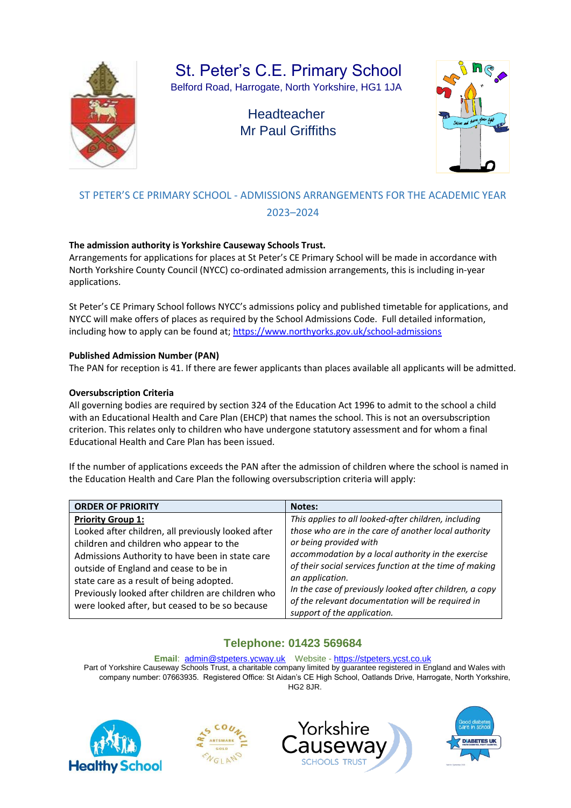

St. Peter's C.E. Primary School

Belford Road, Harrogate, North Yorkshire, HG1 1JA

# **Headteacher** Mr Paul Griffiths



## ST PETER'S CE PRIMARY SCHOOL - ADMISSIONS ARRANGEMENTS FOR THE ACADEMIC YEAR 2023–2024

### **The admission authority is Yorkshire Causeway Schools Trust.**

Arrangements for applications for places at St Peter's CE Primary School will be made in accordance with North Yorkshire County Council (NYCC) co-ordinated admission arrangements, this is including in-year applications.

St Peter's CE Primary School follows NYCC's admissions policy and published timetable for applications, and NYCC will make offers of places as required by the School Admissions Code. Full detailed information, including how to apply can be found at;<https://www.northyorks.gov.uk/school-admissions>

### **Published Admission Number (PAN)**

The PAN for reception is 41. If there are fewer applicants than places available all applicants will be admitted.

### **Oversubscription Criteria**

All governing bodies are required by section 324 of the Education Act 1996 to admit to the school a child with an Educational Health and Care Plan (EHCP) that names the school. This is not an oversubscription criterion. This relates only to children who have undergone statutory assessment and for whom a final Educational Health and Care Plan has been issued.

If the number of applications exceeds the PAN after the admission of children where the school is named in the Education Health and Care Plan the following oversubscription criteria will apply:

| <b>ORDER OF PRIORITY</b>                                                                                                                                                                                                                                                                                                                                                 | <b>Notes:</b>                                                                                                                                                                                                                                                                                                                                                                                                             |
|--------------------------------------------------------------------------------------------------------------------------------------------------------------------------------------------------------------------------------------------------------------------------------------------------------------------------------------------------------------------------|---------------------------------------------------------------------------------------------------------------------------------------------------------------------------------------------------------------------------------------------------------------------------------------------------------------------------------------------------------------------------------------------------------------------------|
| <b>Priority Group 1:</b><br>Looked after children, all previously looked after<br>children and children who appear to the<br>Admissions Authority to have been in state care<br>outside of England and cease to be in<br>state care as a result of being adopted.<br>Previously looked after children are children who<br>were looked after, but ceased to be so because | This applies to all looked-after children, including<br>those who are in the care of another local authority<br>or being provided with<br>accommodation by a local authority in the exercise<br>of their social services function at the time of making<br>an application.<br>In the case of previously looked after children, a copy<br>of the relevant documentation will be required in<br>support of the application. |

## **Telephone: 01423 569684**

#### **Email**: admin@stpeters.ycway.uk Website - [https://stpeters.ycst.co.uk](https://stpeters.ycst.co.uk/)

Part of Yorkshire Causeway Schools Trust, a charitable company limited by guarantee registered in England and Wales with company number: 07663935. Registered Office: St Aidan's CE High School, Oatlands Drive, Harrogate, North Yorkshire, HG2 8JR.







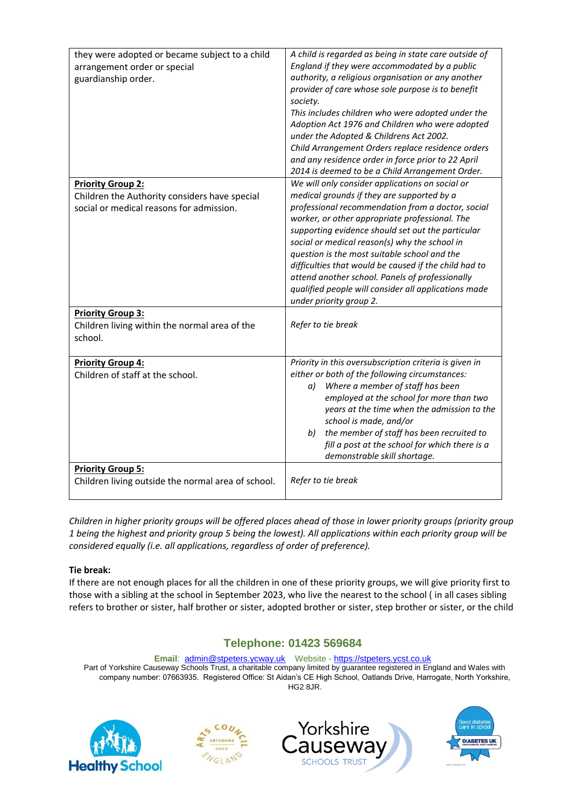| they were adopted or became subject to a child<br>arrangement order or special<br>guardianship order. | A child is regarded as being in state care outside of<br>England if they were accommodated by a public<br>authority, a religious organisation or any another<br>provider of care whose sole purpose is to benefit<br>society.<br>This includes children who were adopted under the<br>Adoption Act 1976 and Children who were adopted<br>under the Adopted & Childrens Act 2002.<br>Child Arrangement Orders replace residence orders<br>and any residence order in force prior to 22 April<br>2014 is deemed to be a Child Arrangement Order. |
|-------------------------------------------------------------------------------------------------------|------------------------------------------------------------------------------------------------------------------------------------------------------------------------------------------------------------------------------------------------------------------------------------------------------------------------------------------------------------------------------------------------------------------------------------------------------------------------------------------------------------------------------------------------|
| <b>Priority Group 2:</b>                                                                              | We will only consider applications on social or                                                                                                                                                                                                                                                                                                                                                                                                                                                                                                |
| Children the Authority considers have special<br>social or medical reasons for admission.             | medical grounds if they are supported by a<br>professional recommendation from a doctor, social<br>worker, or other appropriate professional. The<br>supporting evidence should set out the particular<br>social or medical reason(s) why the school in<br>question is the most suitable school and the<br>difficulties that would be caused if the child had to<br>attend another school. Panels of professionally<br>qualified people will consider all applications made<br>under priority group 2.                                         |
| <b>Priority Group 3:</b>                                                                              |                                                                                                                                                                                                                                                                                                                                                                                                                                                                                                                                                |
| Children living within the normal area of the<br>school.                                              | Refer to tie break                                                                                                                                                                                                                                                                                                                                                                                                                                                                                                                             |
| <b>Priority Group 4:</b>                                                                              | Priority in this oversubscription criteria is given in                                                                                                                                                                                                                                                                                                                                                                                                                                                                                         |
| Children of staff at the school.                                                                      | either or both of the following circumstances:<br>Where a member of staff has been<br>a)<br>employed at the school for more than two<br>years at the time when the admission to the<br>school is made, and/or<br>the member of staff has been recruited to<br>b)<br>fill a post at the school for which there is a<br>demonstrable skill shortage.                                                                                                                                                                                             |
| <b>Priority Group 5:</b>                                                                              |                                                                                                                                                                                                                                                                                                                                                                                                                                                                                                                                                |
| Children living outside the normal area of school.                                                    | Refer to tie break                                                                                                                                                                                                                                                                                                                                                                                                                                                                                                                             |

*Children in higher priority groups will be offered places ahead of those in lower priority groups (priority group 1 being the highest and priority group 5 being the lowest). All applications within each priority group will be considered equally (i.e. all applications, regardless of order of preference).*

### **Tie break:**

If there are not enough places for all the children in one of these priority groups, we will give priority first to those with a sibling at the school in September 2023, who live the nearest to the school ( in all cases sibling refers to brother or sister, half brother or sister, adopted brother or sister, step brother or sister, or the child

## **Telephone: 01423 569684**

**Email**: admin@stpeters.ycway.uk Website - [https://stpeters.ycst.co.uk](https://stpeters.ycst.co.uk/) Part of Yorkshire Causeway Schools Trust, a charitable company limited by guarantee registered in England and Wales with company number: 07663935. Registered Office: St Aidan's CE High School, Oatlands Drive, Harrogate, North Yorkshire, HG2 8JR.